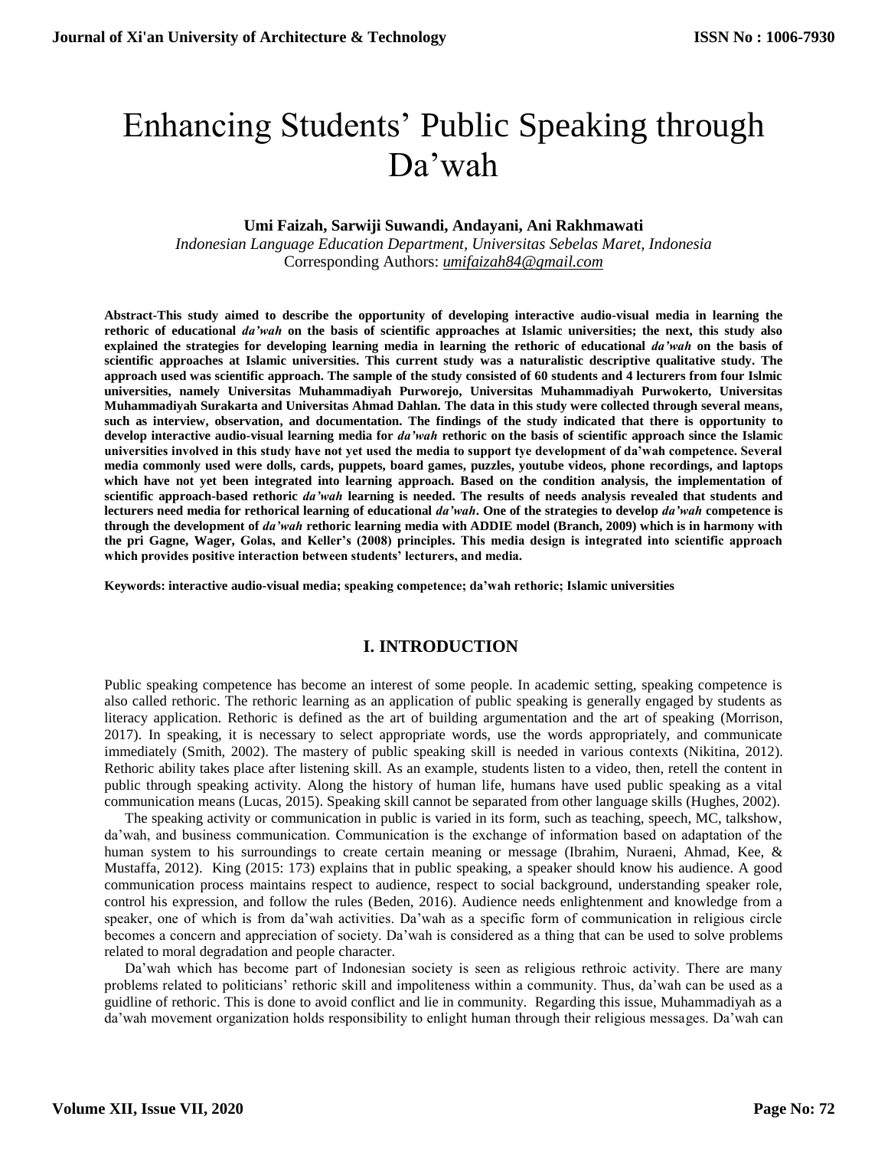# Enhancing Students' Public Speaking through Da'wah

## **Umi Faizah, Sarwiji Suwandi, Andayani, Ani Rakhmawati**

*Indonesian Language Education Department, Universitas Sebelas Maret, Indonesia* Corresponding Authors: *umifaizah84@gmail.com*

**Abstract-This study aimed to describe the opportunity of developing interactive audio-visual media in learning the rethoric of educational** *da'wah* **on the basis of scientific approaches at Islamic universities; the next, this study also explained the strategies for developing learning media in learning the rethoric of educational** *da'wah* **on the basis of scientific approaches at Islamic universities. This current study was a naturalistic descriptive qualitative study. The approach used was scientific approach. The sample of the study consisted of 60 students and 4 lecturers from four Islmic universities, namely Universitas Muhammadiyah Purworejo, Universitas Muhammadiyah Purwokerto, Universitas Muhammadiyah Surakarta and Universitas Ahmad Dahlan. The data in this study were collected through several means, such as interview, observation, and documentation. The findings of the study indicated that there is opportunity to develop interactive audio-visual learning media for** *da'wah* **rethoric on the basis of scientific approach since the Islamic universities involved in this study have not yet used the media to support tye development of da'wah competence. Several media commonly used were dolls, cards, puppets, board games, puzzles, youtube videos, phone recordings, and laptops which have not yet been integrated into learning approach. Based on the condition analysis, the implementation of scientific approach-based rethoric** *da'wah* **learning is needed. The results of needs analysis revealed that students and lecturers need media for rethorical learning of educational** *da'wah***. One of the strategies to develop** *da'wah* **competence is through the development of** *da'wah* **rethoric learning media with ADDIE model (Branch, 2009) which is in harmony with the pri Gagne, Wager, Golas, and Keller's (2008) principles. This media design is integrated into scientific approach which provides positive interaction between students' lecturers, and media.**

**Keywords: interactive audio-visual media; speaking competence; da'wah rethoric; Islamic universities**

## **I. INTRODUCTION**

Public speaking competence has become an interest of some people. In academic setting, speaking competence is also called rethoric. The rethoric learning as an application of public speaking is generally engaged by students as literacy application. Rethoric is defined as the art of building argumentation and the art of speaking (Morrison, 2017). In speaking, it is necessary to select appropriate words, use the words appropriately, and communicate immediately (Smith, 2002). The mastery of public speaking skill is needed in various contexts (Nikitina, 2012). Rethoric ability takes place after listening skill. As an example, students listen to a video, then, retell the content in public through speaking activity. Along the history of human life, humans have used public speaking as a vital communication means (Lucas, 2015). Speaking skill cannot be separated from other language skills (Hughes, 2002).

The speaking activity or communication in public is varied in its form, such as teaching, speech, MC, talkshow, da'wah, and business communication. Communication is the exchange of information based on adaptation of the human system to his surroundings to create certain meaning or message (Ibrahim, Nuraeni, Ahmad, Kee, & Mustaffa, 2012). King (2015: 173) explains that in public speaking, a speaker should know his audience. A good communication process maintains respect to audience, respect to social background, understanding speaker role, control his expression, and follow the rules (Beden, 2016). Audience needs enlightenment and knowledge from a speaker, one of which is from da'wah activities. Da'wah as a specific form of communication in religious circle becomes a concern and appreciation of society. Da'wah is considered as a thing that can be used to solve problems related to moral degradation and people character.

Da'wah which has become part of Indonesian society is seen as religious rethroic activity. There are many problems related to politicians' rethoric skill and impoliteness within a community. Thus, da'wah can be used as a guidline of rethoric. This is done to avoid conflict and lie in community. Regarding this issue, Muhammadiyah as a da'wah movement organization holds responsibility to enlight human through their religious messages. Da'wah can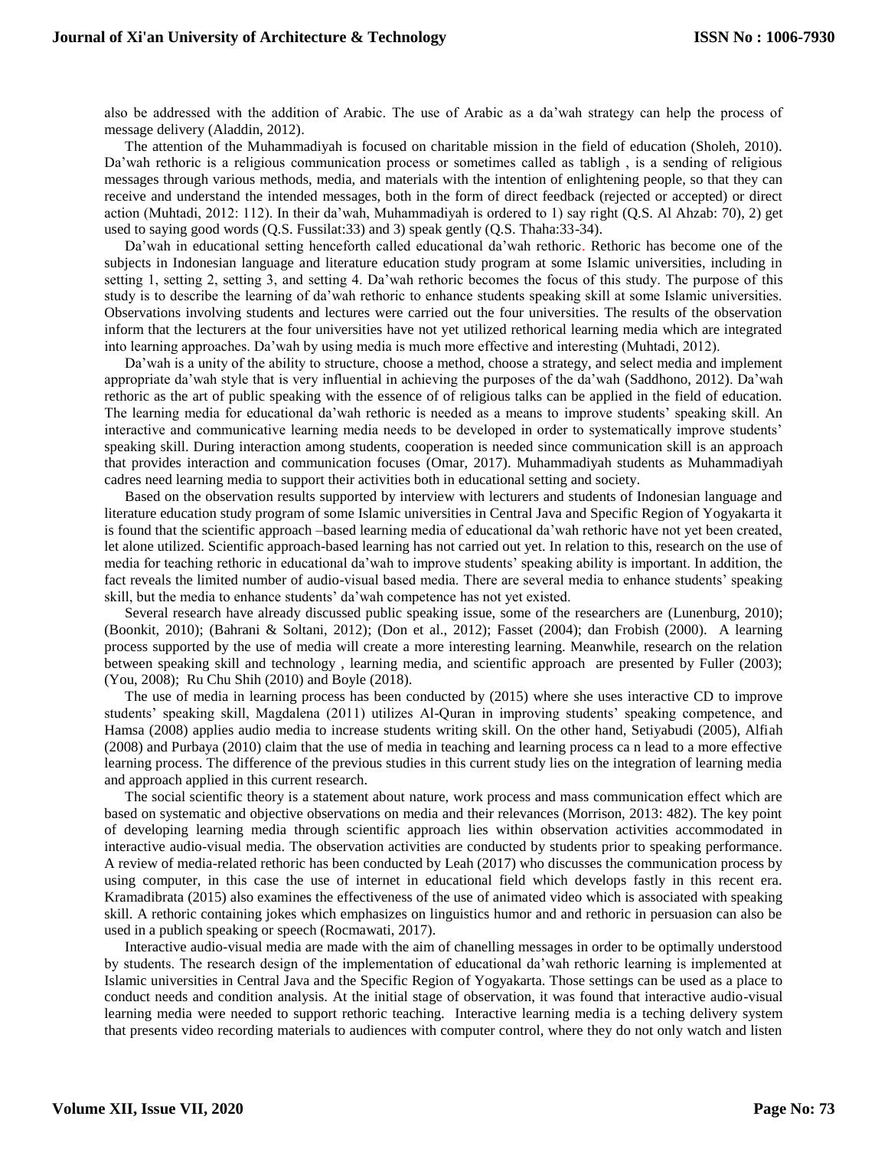also be addressed with the addition of Arabic. The use of Arabic as a da'wah strategy can help the process of message delivery (Aladdin, 2012).

The attention of the Muhammadiyah is focused on charitable mission in the field of education (Sholeh, 2010). Da'wah rethoric is a religious communication process or sometimes called as tabligh , is a sending of religious messages through various methods, media, and materials with the intention of enlightening people, so that they can receive and understand the intended messages, both in the form of direct feedback (rejected or accepted) or direct action (Muhtadi, 2012: 112). In their da'wah, Muhammadiyah is ordered to 1) say right (Q.S. Al Ahzab: 70), 2) get used to saying good words (Q.S. Fussilat:33) and 3) speak gently (Q.S. Thaha:33-34).

Da'wah in educational setting henceforth called educational da'wah rethoric. Rethoric has become one of the subjects in Indonesian language and literature education study program at some Islamic universities, including in setting 1, setting 2, setting 3, and setting 4. Da'wah rethoric becomes the focus of this study. The purpose of this study is to describe the learning of da'wah rethoric to enhance students speaking skill at some Islamic universities. Observations involving students and lectures were carried out the four universities. The results of the observation inform that the lecturers at the four universities have not yet utilized rethorical learning media which are integrated into learning approaches. Da'wah by using media is much more effective and interesting (Muhtadi, 2012).

Da'wah is a unity of the ability to structure, choose a method, choose a strategy, and select media and implement appropriate da'wah style that is very influential in achieving the purposes of the da'wah (Saddhono, 2012). Da'wah rethoric as the art of public speaking with the essence of of religious talks can be applied in the field of education. The learning media for educational da'wah rethoric is needed as a means to improve students' speaking skill. An interactive and communicative learning media needs to be developed in order to systematically improve students' speaking skill. During interaction among students, cooperation is needed since communication skill is an approach that provides interaction and communication focuses (Omar, 2017). Muhammadiyah students as Muhammadiyah cadres need learning media to support their activities both in educational setting and society.

Based on the observation results supported by interview with lecturers and students of Indonesian language and literature education study program of some Islamic universities in Central Java and Specific Region of Yogyakarta it is found that the scientific approach –based learning media of educational da'wah rethoric have not yet been created, let alone utilized. Scientific approach-based learning has not carried out yet. In relation to this, research on the use of media for teaching rethoric in educational da'wah to improve students' speaking ability is important. In addition, the fact reveals the limited number of audio-visual based media. There are several media to enhance students' speaking skill, but the media to enhance students' da'wah competence has not yet existed.

Several research have already discussed public speaking issue, some of the researchers are (Lunenburg, 2010); (Boonkit, 2010); (Bahrani & Soltani, 2012); (Don et al., 2012); Fasset (2004); dan Frobish (2000). A learning process supported by the use of media will create a more interesting learning. Meanwhile, research on the relation between speaking skill and technology , learning media, and scientific approach are presented by Fuller (2003); (You, 2008); Ru Chu Shih (2010) and Boyle (2018).

The use of media in learning process has been conducted by (2015) where she uses interactive CD to improve students' speaking skill, Magdalena (2011) utilizes Al-Quran in improving students' speaking competence, and Hamsa (2008) applies audio media to increase students writing skill. On the other hand, Setiyabudi (2005), Alfiah (2008) and Purbaya (2010) claim that the use of media in teaching and learning process ca n lead to a more effective learning process. The difference of the previous studies in this current study lies on the integration of learning media and approach applied in this current research.

The social scientific theory is a statement about nature, work process and mass communication effect which are based on systematic and objective observations on media and their relevances (Morrison, 2013: 482). The key point of developing learning media through scientific approach lies within observation activities accommodated in interactive audio-visual media. The observation activities are conducted by students prior to speaking performance. A review of media-related rethoric has been conducted by Leah (2017) who discusses the communication process by using computer, in this case the use of internet in educational field which develops fastly in this recent era. Kramadibrata (2015) also examines the effectiveness of the use of animated video which is associated with speaking skill. A rethoric containing jokes which emphasizes on linguistics humor and and rethoric in persuasion can also be used in a publich speaking or speech (Rocmawati, 2017).

Interactive audio-visual media are made with the aim of chanelling messages in order to be optimally understood by students. The research design of the implementation of educational da'wah rethoric learning is implemented at Islamic universities in Central Java and the Specific Region of Yogyakarta. Those settings can be used as a place to conduct needs and condition analysis. At the initial stage of observation, it was found that interactive audio-visual learning media were needed to support rethoric teaching. Interactive learning media is a teching delivery system that presents video recording materials to audiences with computer control, where they do not only watch and listen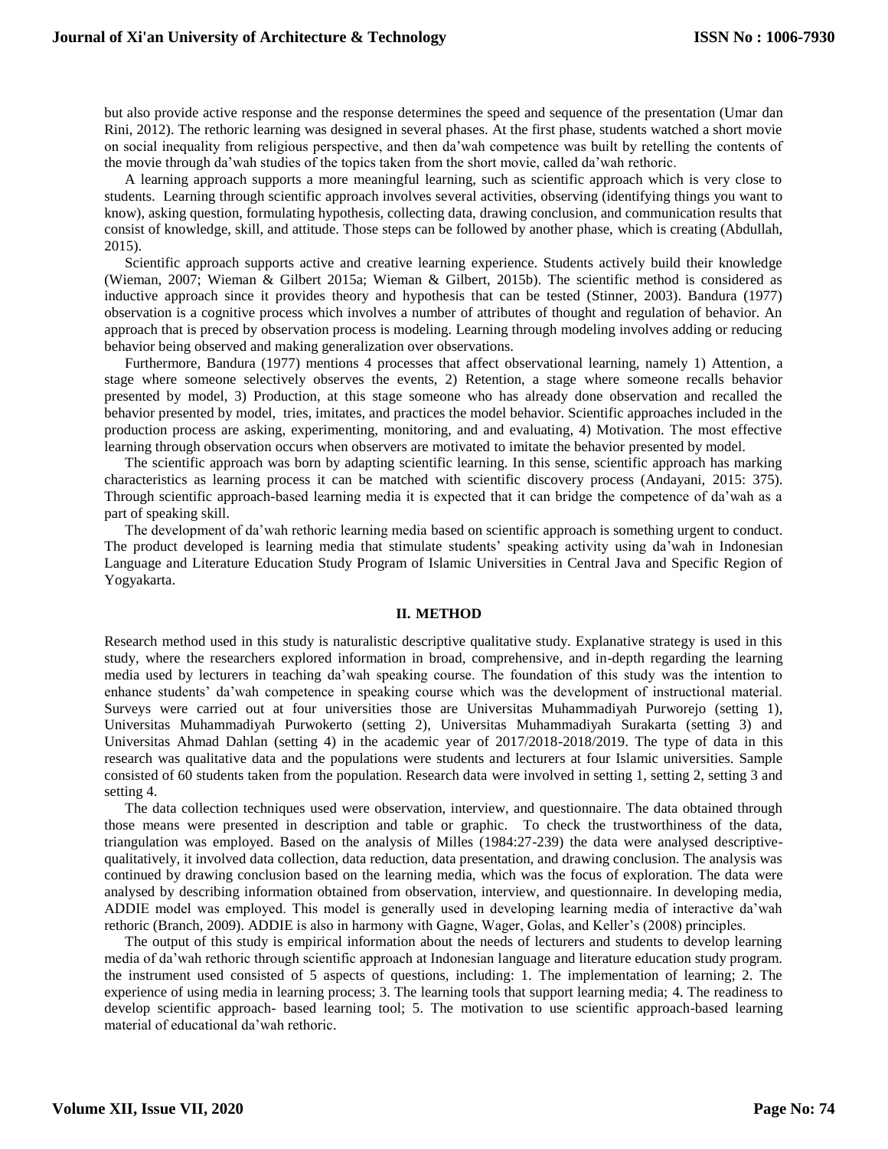but also provide active response and the response determines the speed and sequence of the presentation (Umar dan Rini, 2012). The rethoric learning was designed in several phases. At the first phase, students watched a short movie on social inequality from religious perspective, and then da'wah competence was built by retelling the contents of the movie through da'wah studies of the topics taken from the short movie, called da'wah rethoric.

A learning approach supports a more meaningful learning, such as scientific approach which is very close to students. Learning through scientific approach involves several activities, observing (identifying things you want to know), asking question, formulating hypothesis, collecting data, drawing conclusion, and communication results that consist of knowledge, skill, and attitude. Those steps can be followed by another phase, which is creating (Abdullah, 2015).

Scientific approach supports active and creative learning experience. Students actively build their knowledge (Wieman, 2007; Wieman & Gilbert 2015a; Wieman & Gilbert, 2015b). The scientific method is considered as inductive approach since it provides theory and hypothesis that can be tested (Stinner, 2003). Bandura (1977) observation is a cognitive process which involves a number of attributes of thought and regulation of behavior. An approach that is preced by observation process is modeling. Learning through modeling involves adding or reducing behavior being observed and making generalization over observations.

Furthermore, Bandura (1977) mentions 4 processes that affect observational learning, namely 1) Attention, a stage where someone selectively observes the events, 2) Retention, a stage where someone recalls behavior presented by model, 3) Production, at this stage someone who has already done observation and recalled the behavior presented by model, tries, imitates, and practices the model behavior. Scientific approaches included in the production process are asking, experimenting, monitoring, and and evaluating, 4) Motivation. The most effective learning through observation occurs when observers are motivated to imitate the behavior presented by model.

The scientific approach was born by adapting scientific learning. In this sense, scientific approach has marking characteristics as learning process it can be matched with scientific discovery process (Andayani, 2015: 375). Through scientific approach-based learning media it is expected that it can bridge the competence of da'wah as a part of speaking skill.

The development of da'wah rethoric learning media based on scientific approach is something urgent to conduct. The product developed is learning media that stimulate students' speaking activity using da'wah in Indonesian Language and Literature Education Study Program of Islamic Universities in Central Java and Specific Region of Yogyakarta.

## **II. METHOD**

Research method used in this study is naturalistic descriptive qualitative study. Explanative strategy is used in this study, where the researchers explored information in broad, comprehensive, and in-depth regarding the learning media used by lecturers in teaching da'wah speaking course. The foundation of this study was the intention to enhance students' da'wah competence in speaking course which was the development of instructional material. Surveys were carried out at four universities those are Universitas Muhammadiyah Purworejo (setting 1), Universitas Muhammadiyah Purwokerto (setting 2), Universitas Muhammadiyah Surakarta (setting 3) and Universitas Ahmad Dahlan (setting 4) in the academic year of 2017/2018-2018/2019. The type of data in this research was qualitative data and the populations were students and lecturers at four Islamic universities. Sample consisted of 60 students taken from the population. Research data were involved in setting 1, setting 2, setting 3 and setting 4.

The data collection techniques used were observation, interview, and questionnaire. The data obtained through those means were presented in description and table or graphic. To check the trustworthiness of the data, triangulation was employed. Based on the analysis of Milles (1984:27-239) the data were analysed descriptivequalitatively, it involved data collection, data reduction, data presentation, and drawing conclusion. The analysis was continued by drawing conclusion based on the learning media, which was the focus of exploration. The data were analysed by describing information obtained from observation, interview, and questionnaire. In developing media, ADDIE model was employed. This model is generally used in developing learning media of interactive da'wah rethoric (Branch, 2009). ADDIE is also in harmony with Gagne, Wager, Golas, and Keller's (2008) principles.

The output of this study is empirical information about the needs of lecturers and students to develop learning media of da'wah rethoric through scientific approach at Indonesian language and literature education study program. the instrument used consisted of 5 aspects of questions, including: 1. The implementation of learning; 2. The experience of using media in learning process; 3. The learning tools that support learning media; 4. The readiness to develop scientific approach- based learning tool; 5. The motivation to use scientific approach-based learning material of educational da'wah rethoric.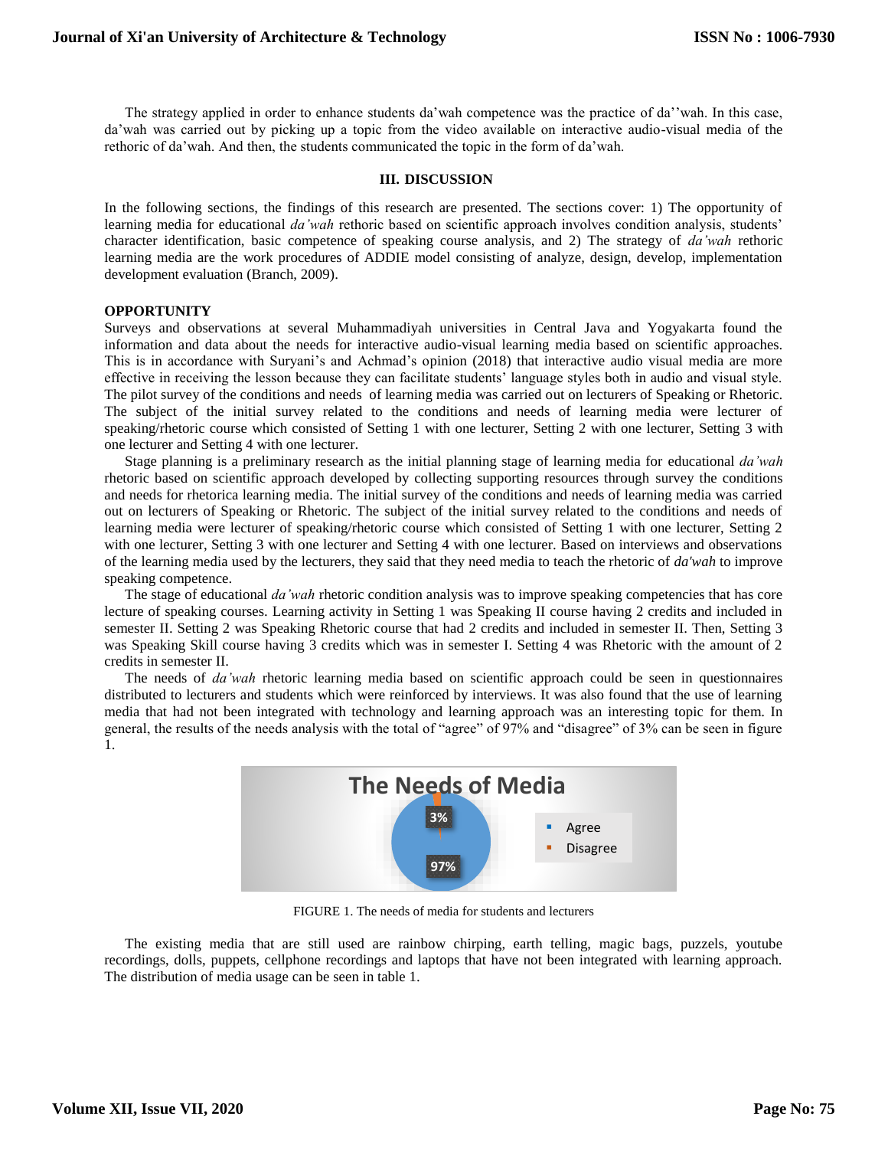The strategy applied in order to enhance students da'wah competence was the practice of da''wah. In this case, da'wah was carried out by picking up a topic from the video available on interactive audio-visual media of the rethoric of da'wah. And then, the students communicated the topic in the form of da'wah.

#### **III. DISCUSSION**

In the following sections, the findings of this research are presented. The sections cover: 1) The opportunity of learning media for educational *da'wah* rethoric based on scientific approach involves condition analysis, students' character identification, basic competence of speaking course analysis, and 2) The strategy of *da'wah* rethoric learning media are the work procedures of ADDIE model consisting of analyze, design, develop, implementation development evaluation (Branch, 2009).

## **OPPORTUNITY**

Surveys and observations at several Muhammadiyah universities in Central Java and Yogyakarta found the information and data about the needs for interactive audio-visual learning media based on scientific approaches. This is in accordance with Suryani's and Achmad's opinion (2018) that interactive audio visual media are more effective in receiving the lesson because they can facilitate students' language styles both in audio and visual style. The pilot survey of the conditions and needs of learning media was carried out on lecturers of Speaking or Rhetoric. The subject of the initial survey related to the conditions and needs of learning media were lecturer of speaking/rhetoric course which consisted of Setting 1 with one lecturer, Setting 2 with one lecturer, Setting 3 with one lecturer and Setting 4 with one lecturer.

Stage planning is a preliminary research as the initial planning stage of learning media for educational *da'wah* rhetoric based on scientific approach developed by collecting supporting resources through survey the conditions and needs for rhetorica learning media. The initial survey of the conditions and needs of learning media was carried out on lecturers of Speaking or Rhetoric. The subject of the initial survey related to the conditions and needs of learning media were lecturer of speaking/rhetoric course which consisted of Setting 1 with one lecturer, Setting 2 with one lecturer, Setting 3 with one lecturer and Setting 4 with one lecturer. Based on interviews and observations of the learning media used by the lecturers, they said that they need media to teach the rhetoric of *da'wah* to improve speaking competence.

The stage of educational *da'wah* rhetoric condition analysis was to improve speaking competencies that has core lecture of speaking courses. Learning activity in Setting 1 was Speaking II course having 2 credits and included in semester II. Setting 2 was Speaking Rhetoric course that had 2 credits and included in semester II. Then, Setting 3 was Speaking Skill course having 3 credits which was in semester I. Setting 4 was Rhetoric with the amount of 2 credits in semester II.

The needs of *da'wah* rhetoric learning media based on scientific approach could be seen in questionnaires distributed to lecturers and students which were reinforced by interviews. It was also found that the use of learning media that had not been integrated with technology and learning approach was an interesting topic for them. In general, the results of the needs analysis with the total of "agree" of 97% and "disagree" of 3% can be seen in figure 1.



FIGURE 1. The needs of media for students and lecturers

The existing media that are still used are rainbow chirping, earth telling, magic bags, puzzels, youtube recordings, dolls, puppets, cellphone recordings and laptops that have not been integrated with learning approach. The distribution of media usage can be seen in table 1.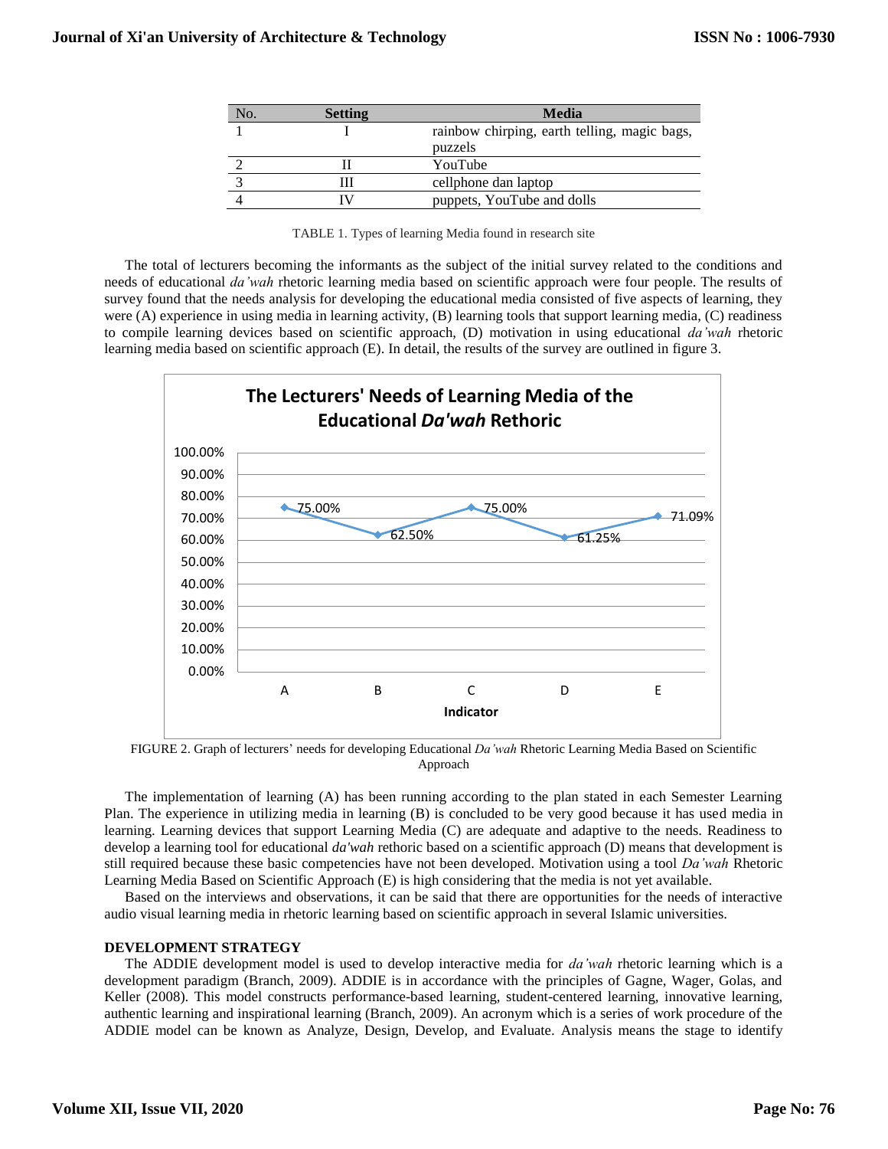| No. | <b>Setting</b> | Media                                        |  |  |
|-----|----------------|----------------------------------------------|--|--|
|     |                | rainbow chirping, earth telling, magic bags, |  |  |
|     |                | puzzels                                      |  |  |
|     |                | YouTube                                      |  |  |
|     |                | cellphone dan laptop                         |  |  |
|     |                | puppets, YouTube and dolls                   |  |  |

|  |  | TABLE 1. Types of learning Media found in research site |
|--|--|---------------------------------------------------------|
|  |  |                                                         |

The total of lecturers becoming the informants as the subject of the initial survey related to the conditions and needs of educational *da'wah* rhetoric learning media based on scientific approach were four people. The results of survey found that the needs analysis for developing the educational media consisted of five aspects of learning, they were (A) experience in using media in learning activity, (B) learning tools that support learning media, (C) readiness to compile learning devices based on scientific approach, (D) motivation in using educational *da'wah* rhetoric learning media based on scientific approach (E). In detail, the results of the survey are outlined in figure 3.



FIGURE 2. Graph of lecturers' needs for developing Educational *Da'wah* Rhetoric Learning Media Based on Scientific Approach

The implementation of learning (A) has been running according to the plan stated in each Semester Learning Plan. The experience in utilizing media in learning (B) is concluded to be very good because it has used media in learning. Learning devices that support Learning Media (C) are adequate and adaptive to the needs. Readiness to develop a learning tool for educational *da'wah* rethoric based on a scientific approach (D) means that development is still required because these basic competencies have not been developed. Motivation using a tool *Da'wah* Rhetoric Learning Media Based on Scientific Approach (E) is high considering that the media is not yet available.

Based on the interviews and observations, it can be said that there are opportunities for the needs of interactive audio visual learning media in rhetoric learning based on scientific approach in several Islamic universities.

## **DEVELOPMENT STRATEGY**

The ADDIE development model is used to develop interactive media for *da'wah* rhetoric learning which is a development paradigm (Branch, 2009). ADDIE is in accordance with the principles of Gagne, Wager, Golas, and Keller (2008). This model constructs performance-based learning, student-centered learning, innovative learning, authentic learning and inspirational learning (Branch, 2009). An acronym which is a series of work procedure of the ADDIE model can be known as Analyze, Design, Develop, and Evaluate. Analysis means the stage to identify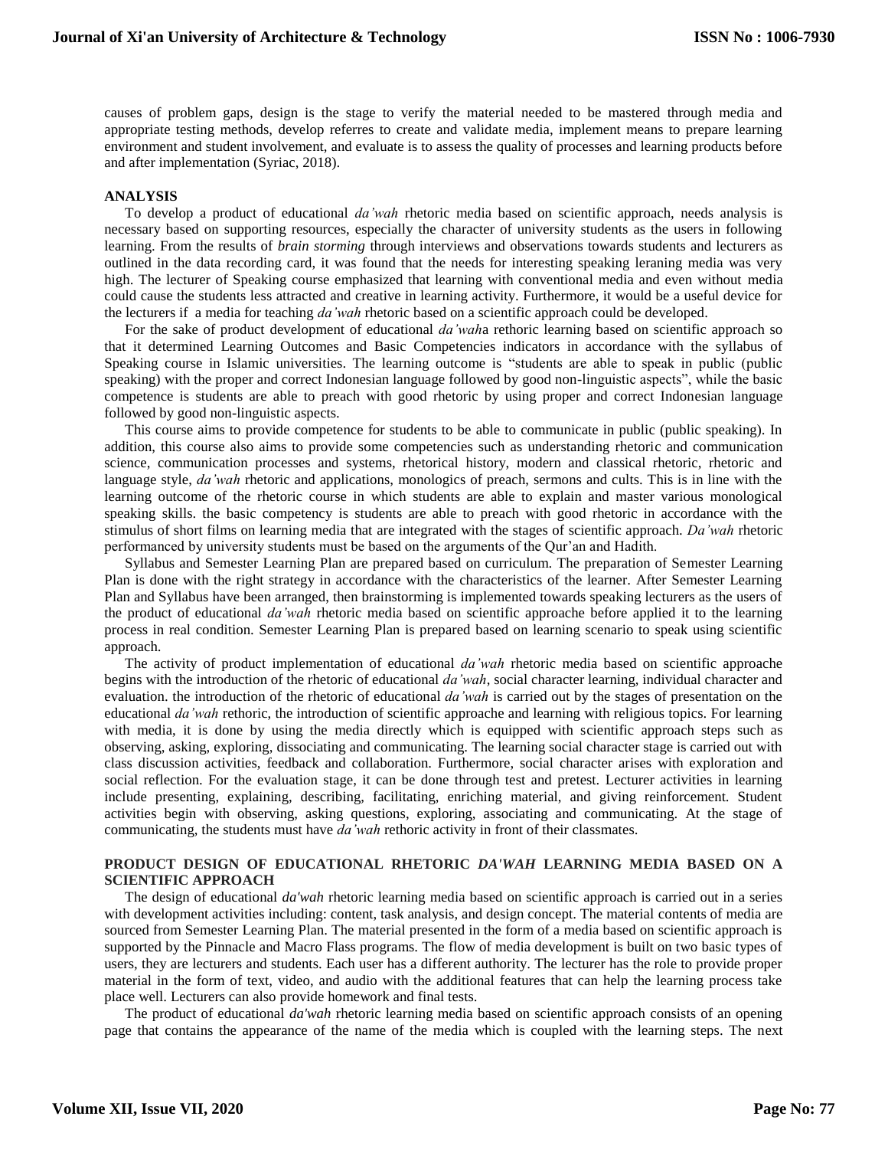causes of problem gaps, design is the stage to verify the material needed to be mastered through media and appropriate testing methods, develop referres to create and validate media, implement means to prepare learning environment and student involvement, and evaluate is to assess the quality of processes and learning products before and after implementation (Syriac, 2018).

### **ANALYSIS**

To develop a product of educational *da'wah* rhetoric media based on scientific approach, needs analysis is necessary based on supporting resources, especially the character of university students as the users in following learning. From the results of *brain storming* through interviews and observations towards students and lecturers as outlined in the data recording card, it was found that the needs for interesting speaking leraning media was very high. The lecturer of Speaking course emphasized that learning with conventional media and even without media could cause the students less attracted and creative in learning activity. Furthermore, it would be a useful device for the lecturers if a media for teaching *da'wah* rhetoric based on a scientific approach could be developed.

For the sake of product development of educational *da'wah*a rethoric learning based on scientific approach so that it determined Learning Outcomes and Basic Competencies indicators in accordance with the syllabus of Speaking course in Islamic universities. The learning outcome is "students are able to speak in public (public speaking) with the proper and correct Indonesian language followed by good non-linguistic aspects", while the basic competence is students are able to preach with good rhetoric by using proper and correct Indonesian language followed by good non-linguistic aspects.

This course aims to provide competence for students to be able to communicate in public (public speaking). In addition, this course also aims to provide some competencies such as understanding rhetoric and communication science, communication processes and systems, rhetorical history, modern and classical rhetoric, rhetoric and language style, *da'wah* rhetoric and applications, monologics of preach, sermons and cults. This is in line with the learning outcome of the rhetoric course in which students are able to explain and master various monological speaking skills. the basic competency is students are able to preach with good rhetoric in accordance with the stimulus of short films on learning media that are integrated with the stages of scientific approach. *Da'wah* rhetoric performanced by university students must be based on the arguments of the Qur'an and Hadith.

Syllabus and Semester Learning Plan are prepared based on curriculum. The preparation of Semester Learning Plan is done with the right strategy in accordance with the characteristics of the learner. After Semester Learning Plan and Syllabus have been arranged, then brainstorming is implemented towards speaking lecturers as the users of the product of educational *da'wah* rhetoric media based on scientific approache before applied it to the learning process in real condition. Semester Learning Plan is prepared based on learning scenario to speak using scientific approach.

The activity of product implementation of educational *da'wah* rhetoric media based on scientific approache begins with the introduction of the rhetoric of educational *da'wah*, social character learning, individual character and evaluation. the introduction of the rhetoric of educational *da'wah* is carried out by the stages of presentation on the educational *da'wah* rethoric, the introduction of scientific approache and learning with religious topics. For learning with media, it is done by using the media directly which is equipped with scientific approach steps such as observing, asking, exploring, dissociating and communicating. The learning social character stage is carried out with class discussion activities, feedback and collaboration. Furthermore, social character arises with exploration and social reflection. For the evaluation stage, it can be done through test and pretest. Lecturer activities in learning include presenting, explaining, describing, facilitating, enriching material, and giving reinforcement. Student activities begin with observing, asking questions, exploring, associating and communicating. At the stage of communicating, the students must have *da'wah* rethoric activity in front of their classmates.

## **PRODUCT DESIGN OF EDUCATIONAL RHETORIC** *DA'WAH* **LEARNING MEDIA BASED ON A SCIENTIFIC APPROACH**

The design of educational *da'wah* rhetoric learning media based on scientific approach is carried out in a series with development activities including: content, task analysis, and design concept. The material contents of media are sourced from Semester Learning Plan. The material presented in the form of a media based on scientific approach is supported by the Pinnacle and Macro Flass programs. The flow of media development is built on two basic types of users, they are lecturers and students. Each user has a different authority. The lecturer has the role to provide proper material in the form of text, video, and audio with the additional features that can help the learning process take place well. Lecturers can also provide homework and final tests.

The product of educational *da'wah* rhetoric learning media based on scientific approach consists of an opening page that contains the appearance of the name of the media which is coupled with the learning steps. The next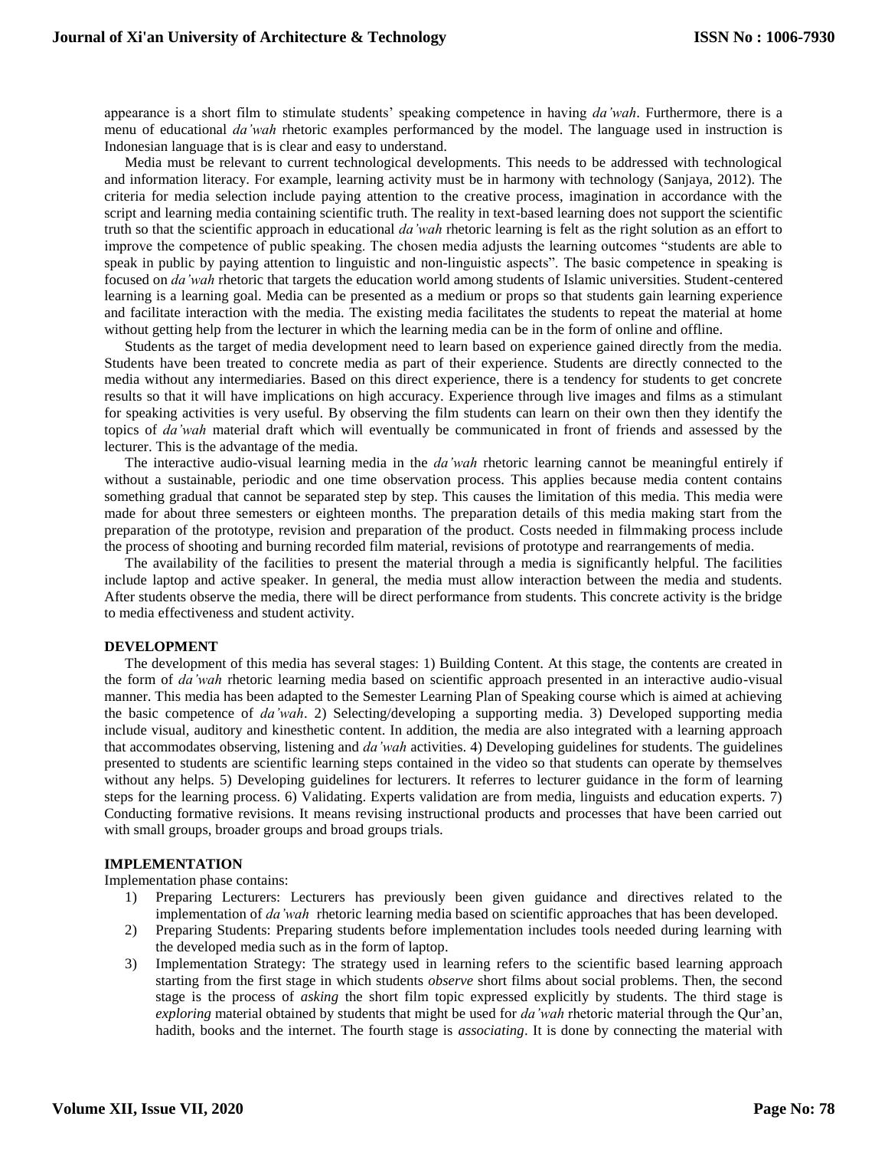appearance is a short film to stimulate students' speaking competence in having *da'wah*. Furthermore, there is a menu of educational *da'wah* rhetoric examples performanced by the model. The language used in instruction is Indonesian language that is is clear and easy to understand.

Media must be relevant to current technological developments. This needs to be addressed with technological and information literacy. For example, learning activity must be in harmony with technology (Sanjaya, 2012). The criteria for media selection include paying attention to the creative process, imagination in accordance with the script and learning media containing scientific truth. The reality in text-based learning does not support the scientific truth so that the scientific approach in educational *da'wah* rhetoric learning is felt as the right solution as an effort to improve the competence of public speaking. The chosen media adjusts the learning outcomes "students are able to speak in public by paying attention to linguistic and non-linguistic aspects". The basic competence in speaking is focused on *da'wah* rhetoric that targets the education world among students of Islamic universities. Student-centered learning is a learning goal. Media can be presented as a medium or props so that students gain learning experience and facilitate interaction with the media. The existing media facilitates the students to repeat the material at home without getting help from the lecturer in which the learning media can be in the form of online and offline.

Students as the target of media development need to learn based on experience gained directly from the media. Students have been treated to concrete media as part of their experience. Students are directly connected to the media without any intermediaries. Based on this direct experience, there is a tendency for students to get concrete results so that it will have implications on high accuracy. Experience through live images and films as a stimulant for speaking activities is very useful. By observing the film students can learn on their own then they identify the topics of *da'wah* material draft which will eventually be communicated in front of friends and assessed by the lecturer. This is the advantage of the media.

The interactive audio-visual learning media in the *da'wah* rhetoric learning cannot be meaningful entirely if without a sustainable, periodic and one time observation process. This applies because media content contains something gradual that cannot be separated step by step. This causes the limitation of this media. This media were made for about three semesters or eighteen months. The preparation details of this media making start from the preparation of the prototype, revision and preparation of the product. Costs needed in filmmaking process include the process of shooting and burning recorded film material, revisions of prototype and rearrangements of media.

The availability of the facilities to present the material through a media is significantly helpful. The facilities include laptop and active speaker. In general, the media must allow interaction between the media and students. After students observe the media, there will be direct performance from students. This concrete activity is the bridge to media effectiveness and student activity.

#### **DEVELOPMENT**

The development of this media has several stages: 1) Building Content. At this stage, the contents are created in the form of *da'wah* rhetoric learning media based on scientific approach presented in an interactive audio-visual manner. This media has been adapted to the Semester Learning Plan of Speaking course which is aimed at achieving the basic competence of *da'wah*. 2) Selecting/developing a supporting media. 3) Developed supporting media include visual, auditory and kinesthetic content. In addition, the media are also integrated with a learning approach that accommodates observing, listening and *da'wah* activities. 4) Developing guidelines for students. The guidelines presented to students are scientific learning steps contained in the video so that students can operate by themselves without any helps. 5) Developing guidelines for lecturers. It referres to lecturer guidance in the form of learning steps for the learning process. 6) Validating. Experts validation are from media, linguists and education experts. 7) Conducting formative revisions. It means revising instructional products and processes that have been carried out with small groups, broader groups and broad groups trials.

## **IMPLEMENTATION**

Implementation phase contains:

- 1) Preparing Lecturers: Lecturers has previously been given guidance and directives related to the implementation of *da'wah* rhetoric learning media based on scientific approaches that has been developed.
- 2) Preparing Students: Preparing students before implementation includes tools needed during learning with the developed media such as in the form of laptop.
- 3) Implementation Strategy: The strategy used in learning refers to the scientific based learning approach starting from the first stage in which students *observe* short films about social problems. Then, the second stage is the process of *asking* the short film topic expressed explicitly by students. The third stage is *exploring* material obtained by students that might be used for *da'wah* rhetoric material through the Qur'an, hadith, books and the internet. The fourth stage is *associating*. It is done by connecting the material with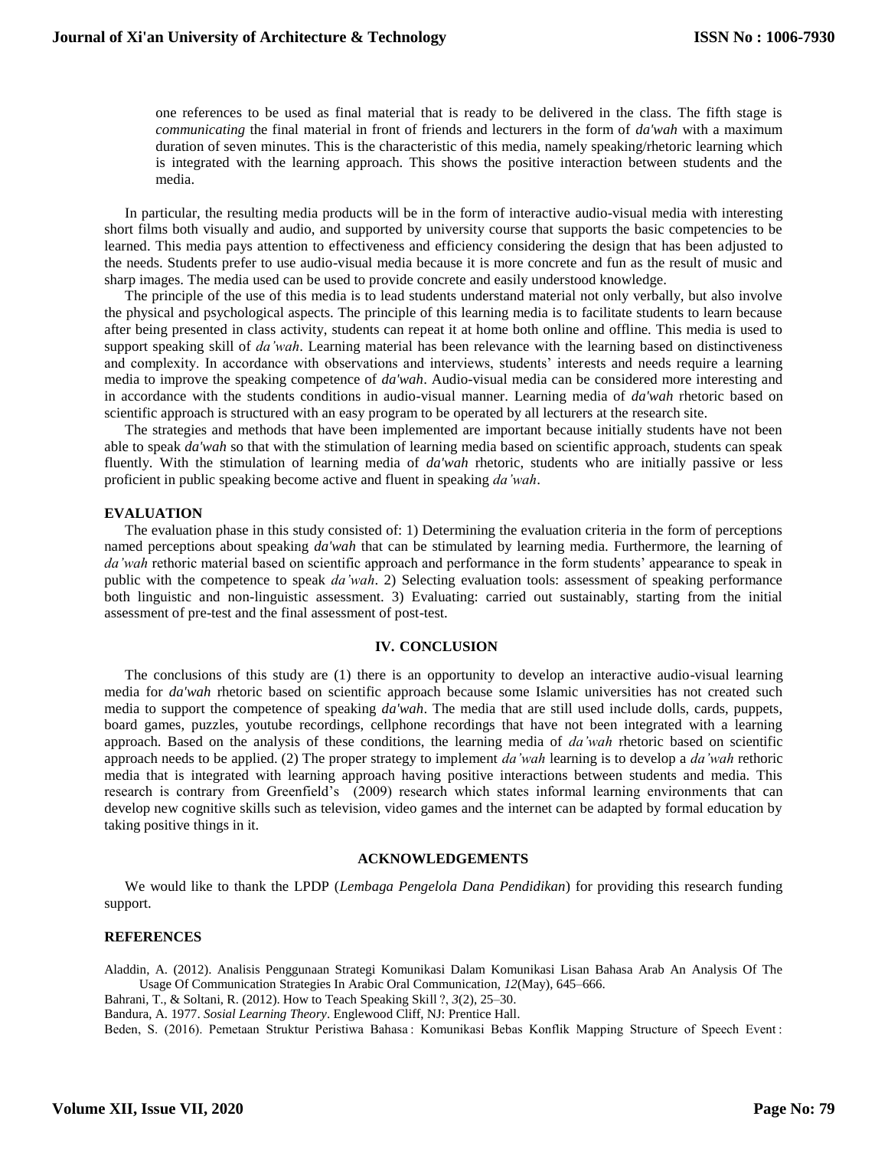one references to be used as final material that is ready to be delivered in the class. The fifth stage is *communicating* the final material in front of friends and lecturers in the form of *da'wah* with a maximum duration of seven minutes. This is the characteristic of this media, namely speaking/rhetoric learning which is integrated with the learning approach. This shows the positive interaction between students and the media.

In particular, the resulting media products will be in the form of interactive audio-visual media with interesting short films both visually and audio, and supported by university course that supports the basic competencies to be learned. This media pays attention to effectiveness and efficiency considering the design that has been adjusted to the needs. Students prefer to use audio-visual media because it is more concrete and fun as the result of music and sharp images. The media used can be used to provide concrete and easily understood knowledge.

The principle of the use of this media is to lead students understand material not only verbally, but also involve the physical and psychological aspects. The principle of this learning media is to facilitate students to learn because after being presented in class activity, students can repeat it at home both online and offline. This media is used to support speaking skill of *da'wah*. Learning material has been relevance with the learning based on distinctiveness and complexity. In accordance with observations and interviews, students' interests and needs require a learning media to improve the speaking competence of *da'wah*. Audio-visual media can be considered more interesting and in accordance with the students conditions in audio-visual manner. Learning media of *da'wah* rhetoric based on scientific approach is structured with an easy program to be operated by all lecturers at the research site.

The strategies and methods that have been implemented are important because initially students have not been able to speak *da'wah* so that with the stimulation of learning media based on scientific approach, students can speak fluently. With the stimulation of learning media of *da'wah* rhetoric, students who are initially passive or less proficient in public speaking become active and fluent in speaking *da'wah*.

#### **EVALUATION**

The evaluation phase in this study consisted of: 1) Determining the evaluation criteria in the form of perceptions named perceptions about speaking *da'wah* that can be stimulated by learning media. Furthermore, the learning of *da'wah* rethoric material based on scientific approach and performance in the form students' appearance to speak in public with the competence to speak *da'wah*. 2) Selecting evaluation tools: assessment of speaking performance both linguistic and non-linguistic assessment. 3) Evaluating: carried out sustainably, starting from the initial assessment of pre-test and the final assessment of post-test.

#### **IV. CONCLUSION**

The conclusions of this study are (1) there is an opportunity to develop an interactive audio-visual learning media for *da'wah* rhetoric based on scientific approach because some Islamic universities has not created such media to support the competence of speaking *da'wah*. The media that are still used include dolls, cards, puppets, board games, puzzles, youtube recordings, cellphone recordings that have not been integrated with a learning approach. Based on the analysis of these conditions, the learning media of *da'wah* rhetoric based on scientific approach needs to be applied. (2) The proper strategy to implement *da'wah* learning is to develop a *da'wah* rethoric media that is integrated with learning approach having positive interactions between students and media. This research is contrary from Greenfield's (2009) research which states informal learning environments that can develop new cognitive skills such as television, video games and the internet can be adapted by formal education by taking positive things in it.

#### **ACKNOWLEDGEMENTS**

We would like to thank the LPDP (*Lembaga Pengelola Dana Pendidikan*) for providing this research funding support.

#### **REFERENCES**

Aladdin, A. (2012). Analisis Penggunaan Strategi Komunikasi Dalam Komunikasi Lisan Bahasa Arab An Analysis Of The Usage Of Communication Strategies In Arabic Oral Communication, *12*(May), 645–666.

Bahrani, T., & Soltani, R. (2012). How to Teach Speaking Skill ?, *3*(2), 25–30.

Bandura, A. 1977. *Sosial Learning Theory*. Englewood Cliff, NJ: Prentice Hall.

Beden, S. (2016). Pemetaan Struktur Peristiwa Bahasa : Komunikasi Bebas Konflik Mapping Structure of Speech Event :